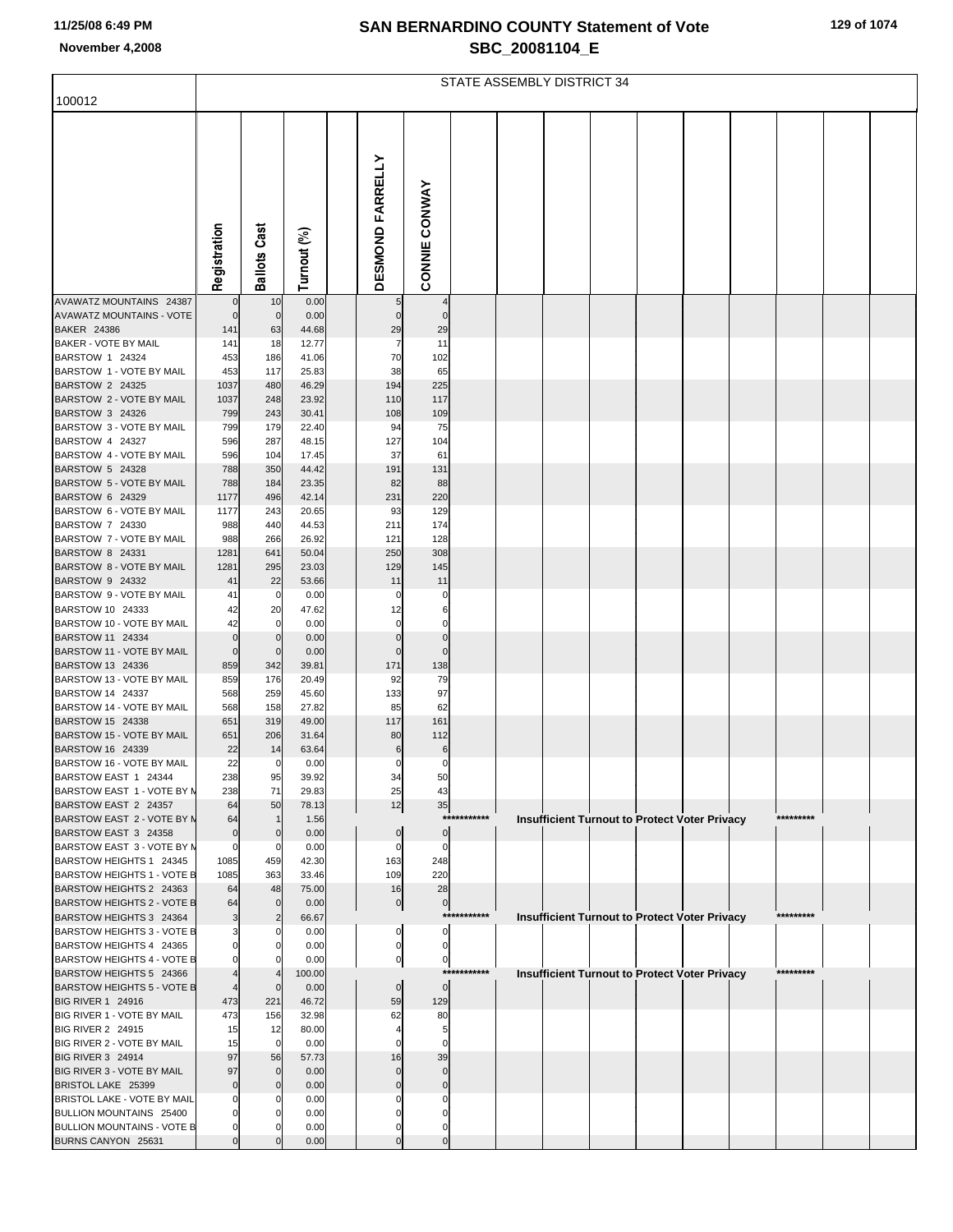# **SAN BERNARDINO COUNTY Statement of Vote November 4,2008 SBC\_20081104\_E**

|  |  |  |  | 129 of 1074 |
|--|--|--|--|-------------|
|--|--|--|--|-------------|

|                                                         | STATE ASSEMBLY DISTRICT 34 |                    |                |  |                            |                            |             |  |                                                      |  |  |  |  |           |  |
|---------------------------------------------------------|----------------------------|--------------------|----------------|--|----------------------------|----------------------------|-------------|--|------------------------------------------------------|--|--|--|--|-----------|--|
| 100012                                                  |                            |                    |                |  |                            |                            |             |  |                                                      |  |  |  |  |           |  |
|                                                         |                            |                    |                |  |                            |                            |             |  |                                                      |  |  |  |  |           |  |
|                                                         |                            |                    |                |  |                            |                            |             |  |                                                      |  |  |  |  |           |  |
|                                                         |                            |                    |                |  | <b>DESMOND FARRELLY</b>    |                            |             |  |                                                      |  |  |  |  |           |  |
|                                                         |                            |                    |                |  |                            |                            |             |  |                                                      |  |  |  |  |           |  |
|                                                         |                            |                    |                |  |                            |                            |             |  |                                                      |  |  |  |  |           |  |
|                                                         |                            | あ                  |                |  |                            |                            |             |  |                                                      |  |  |  |  |           |  |
|                                                         |                            |                    |                |  |                            |                            |             |  |                                                      |  |  |  |  |           |  |
|                                                         | Registration               | Ballots Ca         | Turnout (%)    |  |                            | <b>CONNIE CONWAY</b>       |             |  |                                                      |  |  |  |  |           |  |
|                                                         |                            |                    |                |  |                            |                            |             |  |                                                      |  |  |  |  |           |  |
| AVAWATZ MOUNTAINS 24387                                 | $\mathbf 0$                | 10                 | 0.00           |  | 5                          |                            |             |  |                                                      |  |  |  |  |           |  |
| <b>AVAWATZ MOUNTAINS - VOTE</b><br><b>BAKER 24386</b>   | $\mathbf 0$<br>141         | $\mathbf 0$<br>63  | 0.00<br>44.68  |  | $\Omega$<br>29             | $\Omega$<br>29             |             |  |                                                      |  |  |  |  |           |  |
| BAKER - VOTE BY MAIL                                    | 141                        | 18                 | 12.77          |  | 7                          | 11                         |             |  |                                                      |  |  |  |  |           |  |
| BARSTOW 1 24324<br>BARSTOW 1 - VOTE BY MAIL             | 453<br>453                 | 186<br>117         | 41.06<br>25.83 |  | 70<br>38                   | 102<br>65                  |             |  |                                                      |  |  |  |  |           |  |
| BARSTOW 2 24325                                         | 1037                       | 480                | 46.29          |  | 194                        | 225                        |             |  |                                                      |  |  |  |  |           |  |
| BARSTOW 2 - VOTE BY MAIL                                | 1037                       | 248                | 23.92          |  | 110                        | 117                        |             |  |                                                      |  |  |  |  |           |  |
| BARSTOW 3 24326<br>BARSTOW 3 - VOTE BY MAIL             | 799<br>799                 | 243<br>179         | 30.41<br>22.40 |  | 108<br>94                  | 109<br>75                  |             |  |                                                      |  |  |  |  |           |  |
| BARSTOW 4 24327                                         | 596                        | 287                | 48.15          |  | 127                        | 104                        |             |  |                                                      |  |  |  |  |           |  |
| BARSTOW 4 - VOTE BY MAIL<br>BARSTOW 5 24328             | 596<br>788                 | 104<br>350         | 17.45<br>44.42 |  | 37<br>191                  | 61<br>131                  |             |  |                                                      |  |  |  |  |           |  |
| BARSTOW 5 - VOTE BY MAIL                                | 788                        | 184                | 23.35          |  | 82                         | 88                         |             |  |                                                      |  |  |  |  |           |  |
| BARSTOW 6 24329                                         | 1177                       | 496                | 42.14          |  | 231                        | 220                        |             |  |                                                      |  |  |  |  |           |  |
| BARSTOW 6 - VOTE BY MAIL<br>BARSTOW 7 24330             | 1177<br>988                | 243<br>440         | 20.65<br>44.53 |  | 93<br>211                  | 129<br>174                 |             |  |                                                      |  |  |  |  |           |  |
| BARSTOW 7 - VOTE BY MAIL                                | 988                        | 266                | 26.92          |  | 121                        | 128                        |             |  |                                                      |  |  |  |  |           |  |
| BARSTOW 8 24331<br>BARSTOW 8 - VOTE BY MAIL             | 1281<br>1281               | 641<br>295         | 50.04<br>23.03 |  | 250<br>129                 | 308<br>145                 |             |  |                                                      |  |  |  |  |           |  |
| BARSTOW 9 24332                                         | 41                         | 22                 | 53.66          |  | 11                         | 11                         |             |  |                                                      |  |  |  |  |           |  |
| BARSTOW 9 - VOTE BY MAIL                                | 41                         | 0                  | 0.00           |  | n                          | 0                          |             |  |                                                      |  |  |  |  |           |  |
| BARSTOW 10 24333<br>BARSTOW 10 - VOTE BY MAIL           | 42<br>42                   | 20<br>$\mathbf 0$  | 47.62<br>0.00  |  | 12<br>O                    | 6<br>O                     |             |  |                                                      |  |  |  |  |           |  |
| BARSTOW 11 24334                                        | $\mathbf 0$                | $\mathbf 0$        | 0.00           |  | 0                          | $\Omega$                   |             |  |                                                      |  |  |  |  |           |  |
| BARSTOW 11 - VOTE BY MAIL<br>BARSTOW 13 24336           | $\mathbf 0$<br>859         | $\Omega$<br>342    | 0.00<br>39.81  |  | $\Omega$<br>171            | $\Omega$<br>138            |             |  |                                                      |  |  |  |  |           |  |
| BARSTOW 13 - VOTE BY MAIL                               | 859                        | 176                | 20.49          |  | 92                         | 79                         |             |  |                                                      |  |  |  |  |           |  |
| BARSTOW 14 24337<br>BARSTOW 14 - VOTE BY MAIL           | 568<br>568                 | 259<br>158         | 45.60<br>27.82 |  | 133<br>85                  | 97<br>62                   |             |  |                                                      |  |  |  |  |           |  |
| BARSTOW 15 24338                                        | 651                        | 319                | 49.00          |  | 117                        | 161                        |             |  |                                                      |  |  |  |  |           |  |
| BARSTOW 15 - VOTE BY MAIL                               | 651                        | 206                | 31.64          |  | 80                         | 112                        |             |  |                                                      |  |  |  |  |           |  |
| BARSTOW 16 24339<br>BARSTOW 16 - VOTE BY MAIL           | 22<br>22                   | 14<br>$\Omega$     | 63.64<br>0.00  |  | 6<br>$\Omega$              | 6<br>O                     |             |  |                                                      |  |  |  |  |           |  |
| BARSTOW EAST 1 24344                                    | 238                        | 95                 | 39.92          |  | 34                         | 50                         |             |  |                                                      |  |  |  |  |           |  |
| BARSTOW EAST 1 - VOTE BY M<br>BARSTOW EAST 2 24357      | 238<br>64                  | 71<br>50           | 29.83<br>78.13 |  | 25<br>12                   | 43<br>35                   |             |  |                                                      |  |  |  |  |           |  |
| BARSTOW EAST 2 - VOTE BY N                              | 64                         | $\mathbf{1}$       | 1.56           |  |                            |                            | *********** |  | <b>Insufficient Turnout to Protect Voter Privacy</b> |  |  |  |  | ********* |  |
| BARSTOW EAST 3 24358<br>BARSTOW EAST 3 - VOTE BY N      | $\mathbf 0$                | $\mathbf 0$        | 0.00           |  | $\overline{0}$<br>$\Omega$ | $\circ$<br>$\Omega$        |             |  |                                                      |  |  |  |  |           |  |
| BARSTOW HEIGHTS 1 24345                                 | $\mathbf 0$<br>1085        | 0<br>459           | 0.00<br>42.30  |  | 163                        | 248                        |             |  |                                                      |  |  |  |  |           |  |
| BARSTOW HEIGHTS 1 - VOTE B                              | 1085                       | 363                | 33.46          |  | 109                        | 220                        |             |  |                                                      |  |  |  |  |           |  |
| BARSTOW HEIGHTS 2 24363<br>BARSTOW HEIGHTS 2 - VOTE B   | 64<br>64                   | 48<br>$\mathbf 0$  | 75.00<br>0.00  |  | 16<br>$\overline{0}$       | 28<br>$\overline{0}$       |             |  |                                                      |  |  |  |  |           |  |
| BARSTOW HEIGHTS 3 24364                                 | 3                          | $\overline{2}$     | 66.67          |  |                            |                            | *********** |  | <b>Insufficient Turnout to Protect Voter Privacy</b> |  |  |  |  | ********* |  |
| BARSTOW HEIGHTS 3 - VOTE B<br>BARSTOW HEIGHTS 4 24365   | 0                          | 0<br>0             | 0.00<br>0.00   |  | 0<br>$\mathbf{0}$          | $\mathbf 0$<br>$\mathbf 0$ |             |  |                                                      |  |  |  |  |           |  |
| BARSTOW HEIGHTS 4 - VOTE B                              | $\Omega$                   | $\Omega$           | 0.00           |  | 0                          | $\overline{0}$             |             |  |                                                      |  |  |  |  |           |  |
| BARSTOW HEIGHTS 5 24366                                 |                            | 4                  | 100.00         |  |                            |                            | *********** |  | <b>Insufficient Turnout to Protect Voter Privacy</b> |  |  |  |  | ********* |  |
| BARSTOW HEIGHTS 5 - VOTE B<br>BIG RIVER 1 24916         | 473                        | $\mathbf 0$<br>221 | 0.00<br>46.72  |  | $\Omega$<br>59             | $\overline{0}$<br>129      |             |  |                                                      |  |  |  |  |           |  |
| BIG RIVER 1 - VOTE BY MAIL                              | 473                        | 156                | 32.98          |  | 62                         | 80                         |             |  |                                                      |  |  |  |  |           |  |
| <b>BIG RIVER 2 24915</b><br>BIG RIVER 2 - VOTE BY MAIL  | 15<br>15                   | 12<br>$\mathbf 0$  | 80.00<br>0.00  |  | C                          | 5<br>O                     |             |  |                                                      |  |  |  |  |           |  |
| <b>BIG RIVER 3 24914</b>                                | 97                         | 56                 | 57.73          |  | 16                         | 39                         |             |  |                                                      |  |  |  |  |           |  |
| BIG RIVER 3 - VOTE BY MAIL                              | 97                         | $\mathbf 0$        | 0.00           |  | $\Omega$<br>$\Omega$       |                            |             |  |                                                      |  |  |  |  |           |  |
| BRISTOL LAKE 25399<br>BRISTOL LAKE - VOTE BY MAIL       | $\mathbf 0$<br>0           | $\mathbf 0$<br>C   | 0.00<br>0.00   |  |                            | U                          |             |  |                                                      |  |  |  |  |           |  |
| BULLION MOUNTAINS 25400                                 | 0                          |                    | 0.00           |  |                            |                            |             |  |                                                      |  |  |  |  |           |  |
| <b>BULLION MOUNTAINS - VOTE B</b><br>BURNS CANYON 25631 | 0<br>0                     | $\Omega$           | 0.00<br>0.00   |  | 0                          | 0                          |             |  |                                                      |  |  |  |  |           |  |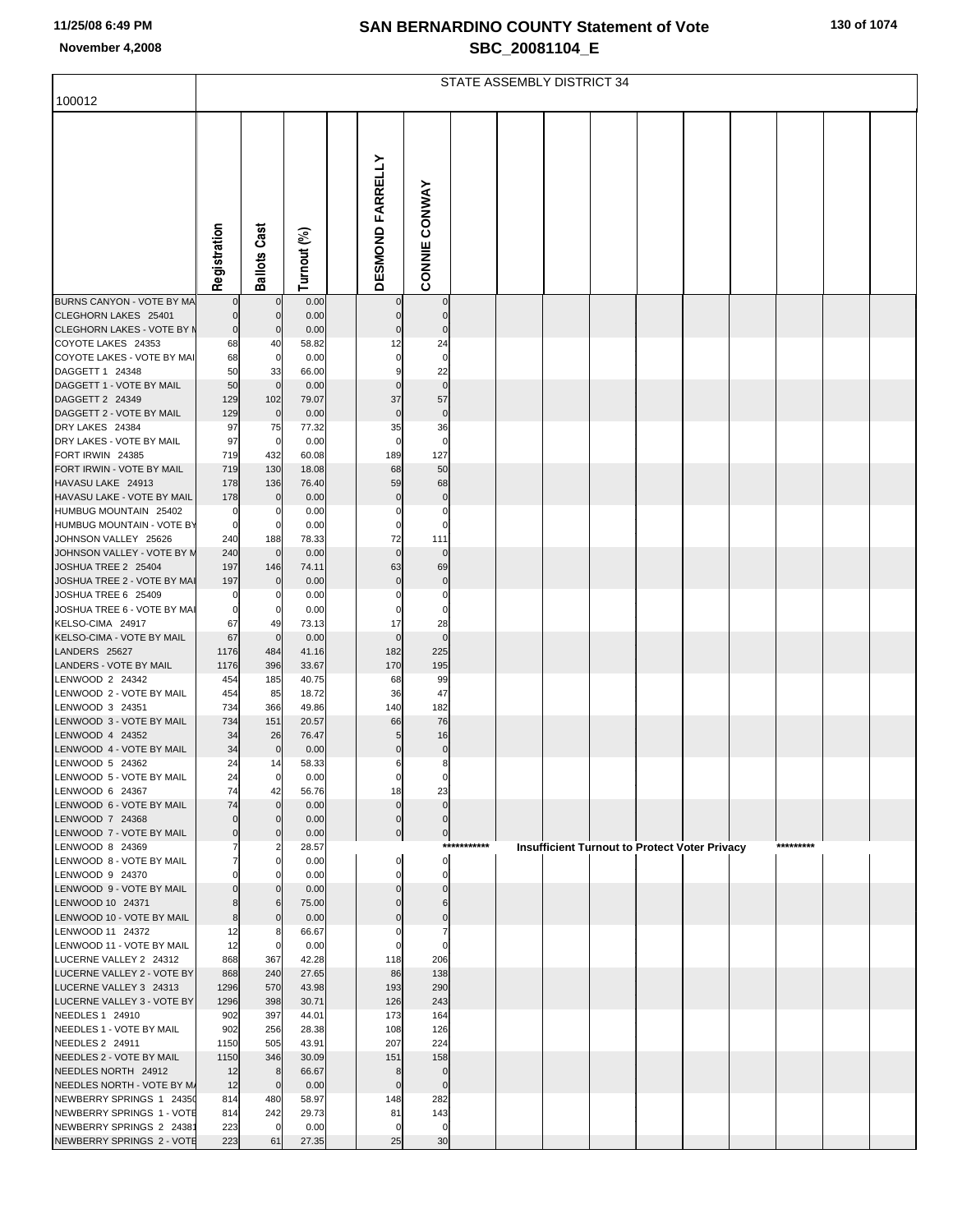# **SAN BERNARDINO COUNTY Statement of Vote November 4,2008 SBC\_20081104\_E**

|  |  |  | 130 of 1074 |
|--|--|--|-------------|
|--|--|--|-------------|

|                                                       | STATE ASSEMBLY DISTRICT 34 |                      |                |  |                         |                      |             |  |                                                      |  |  |  |  |           |  |
|-------------------------------------------------------|----------------------------|----------------------|----------------|--|-------------------------|----------------------|-------------|--|------------------------------------------------------|--|--|--|--|-----------|--|
| 100012                                                |                            |                      |                |  |                         |                      |             |  |                                                      |  |  |  |  |           |  |
|                                                       |                            |                      |                |  |                         |                      |             |  |                                                      |  |  |  |  |           |  |
|                                                       |                            |                      |                |  |                         |                      |             |  |                                                      |  |  |  |  |           |  |
|                                                       |                            |                      |                |  |                         |                      |             |  |                                                      |  |  |  |  |           |  |
|                                                       |                            |                      |                |  |                         |                      |             |  |                                                      |  |  |  |  |           |  |
|                                                       |                            |                      |                |  |                         |                      |             |  |                                                      |  |  |  |  |           |  |
|                                                       |                            |                      |                |  |                         |                      |             |  |                                                      |  |  |  |  |           |  |
|                                                       |                            |                      |                |  |                         |                      |             |  |                                                      |  |  |  |  |           |  |
|                                                       |                            |                      |                |  |                         |                      |             |  |                                                      |  |  |  |  |           |  |
|                                                       |                            |                      |                |  |                         |                      |             |  |                                                      |  |  |  |  |           |  |
|                                                       | Registration               | <b>Ballots Cast</b>  | Turnout (%)    |  | <b>DESMOND FARRELLY</b> | <b>CONNIE CONWAY</b> |             |  |                                                      |  |  |  |  |           |  |
| BURNS CANYON - VOTE BY MA                             |                            | $\mathbf 0$          | 0.00           |  |                         | $\mathbf 0$          |             |  |                                                      |  |  |  |  |           |  |
| CLEGHORN LAKES 25401                                  | $\mathbf 0$                | $\mathbf 0$          | 0.00           |  | $\mathbf 0$             | $\mathbf 0$          |             |  |                                                      |  |  |  |  |           |  |
| CLEGHORN LAKES - VOTE BY M<br>COYOTE LAKES 24353      | $\mathbf 0$<br>68          | 0<br>40              | 0.00<br>58.82  |  | $\pmb{0}$<br>12         | $\pmb{0}$<br>24      |             |  |                                                      |  |  |  |  |           |  |
| COYOTE LAKES - VOTE BY MAI                            | 68                         | 0                    | 0.00           |  | 0                       | 0                    |             |  |                                                      |  |  |  |  |           |  |
| DAGGETT 1 24348                                       | 50                         | 33                   | 66.00          |  | 9                       | 22                   |             |  |                                                      |  |  |  |  |           |  |
| DAGGETT 1 - VOTE BY MAIL                              | 50                         | $\mathbf 0$          | 0.00           |  | $\mathbf 0$             | $\mathbf 0$          |             |  |                                                      |  |  |  |  |           |  |
| DAGGETT 2 24349<br>DAGGETT 2 - VOTE BY MAIL           | 129<br>129                 | 102<br>$\mathbf 0$   | 79.07<br>0.00  |  | 37<br>$\mathbf 0$       | 57<br>$\mathbf 0$    |             |  |                                                      |  |  |  |  |           |  |
| DRY LAKES 24384                                       | 97                         | 75                   | 77.32          |  | 35                      | 36                   |             |  |                                                      |  |  |  |  |           |  |
| DRY LAKES - VOTE BY MAIL                              | 97                         | $\mathbf 0$          | 0.00           |  | 0                       | 0                    |             |  |                                                      |  |  |  |  |           |  |
| FORT IRWIN 24385<br>FORT IRWIN - VOTE BY MAIL         | 719<br>719                 | 432<br>130           | 60.08<br>18.08 |  | 189<br>68               | 127<br>50            |             |  |                                                      |  |  |  |  |           |  |
| HAVASU LAKE 24913                                     | 178                        | 136                  | 76.40          |  | 59                      | 68                   |             |  |                                                      |  |  |  |  |           |  |
| HAVASU LAKE - VOTE BY MAIL                            | 178                        | $\Omega$             | 0.00           |  | $\pmb{0}$               | $\bf{0}$             |             |  |                                                      |  |  |  |  |           |  |
| HUMBUG MOUNTAIN 25402                                 | 0                          | 0                    | 0.00           |  | 0                       | 0                    |             |  |                                                      |  |  |  |  |           |  |
| HUMBUG MOUNTAIN - VOTE BY<br>JOHNSON VALLEY 25626     | $\mathbf 0$<br>240         | 0                    | 0.00<br>78.33  |  | 0<br>72                 | 0<br>111             |             |  |                                                      |  |  |  |  |           |  |
| JOHNSON VALLEY - VOTE BY N                            | 240                        | 188<br>$\mathbf 0$   | 0.00           |  | $\mathbf 0$             | $\mathbf 0$          |             |  |                                                      |  |  |  |  |           |  |
| JOSHUA TREE 2 25404                                   | 197                        | 146                  | 74.11          |  | 63                      | 69                   |             |  |                                                      |  |  |  |  |           |  |
| JOSHUA TREE 2 - VOTE BY MAI                           | 197                        |                      | 0.00           |  | $\pmb{0}$               | $\bf{0}$             |             |  |                                                      |  |  |  |  |           |  |
| JOSHUA TREE 6 25409<br>JOSHUA TREE 6 - VOTE BY MAI    | 0<br>$\mathbf 0$           | 0<br>$^{(1)}$        | 0.00<br>0.00   |  | 0<br>0                  | 0<br>0               |             |  |                                                      |  |  |  |  |           |  |
| KELSO-CIMA 24917                                      | 67                         | 49                   | 73.13          |  | 17                      | 28                   |             |  |                                                      |  |  |  |  |           |  |
| KELSO-CIMA - VOTE BY MAIL                             | 67                         | $\mathbf 0$          | 0.00           |  | $\mathbf 0$             | $\mathbf 0$          |             |  |                                                      |  |  |  |  |           |  |
| LANDERS 25627                                         | 1176                       | 484                  | 41.16          |  | 182                     | 225                  |             |  |                                                      |  |  |  |  |           |  |
| LANDERS - VOTE BY MAIL<br>LENWOOD 2 24342             | 1176<br>454                | 396<br>185           | 33.67<br>40.75 |  | 170<br>68               | 195<br>99            |             |  |                                                      |  |  |  |  |           |  |
| LENWOOD 2 - VOTE BY MAIL                              | 454                        | 85                   | 18.72          |  | 36                      | 47                   |             |  |                                                      |  |  |  |  |           |  |
| LENWOOD 3 24351                                       | 734                        | 366                  | 49.86          |  | 140                     | 182                  |             |  |                                                      |  |  |  |  |           |  |
| LENWOOD 3 - VOTE BY MAIL<br>LENWOOD 4 24352           | 734<br>34                  | 151<br>26            | 20.57<br>76.47 |  | 66<br>5                 | 76<br>16             |             |  |                                                      |  |  |  |  |           |  |
| LENWOOD 4 - VOTE BY MAIL                              | 34                         | $\overline{0}$       | 0.00           |  | $\pmb{0}$               | $\pmb{0}$            |             |  |                                                      |  |  |  |  |           |  |
| LENWOOD 5 24362                                       | 24                         | 14                   | 58.33          |  | 6                       | 8                    |             |  |                                                      |  |  |  |  |           |  |
| LENWOOD 5 - VOTE BY MAIL                              | 24                         | $\overline{0}$       | 0.00           |  | 0                       | 0                    |             |  |                                                      |  |  |  |  |           |  |
| LENWOOD 6 24367<br>LENWOOD 6 - VOTE BY MAIL           | 74<br>74                   | 42<br>$\overline{0}$ | 56.76<br>0.00  |  | 18<br>$\pmb{0}$         | 23<br>$\pmb{0}$      |             |  |                                                      |  |  |  |  |           |  |
| LENWOOD 7 24368                                       | $\mathbf 0$                | $\mathbf 0$          | 0.00           |  | $\pmb{0}$               | $\mathbf 0$          |             |  |                                                      |  |  |  |  |           |  |
| LENWOOD 7 - VOTE BY MAIL                              | $\mathbf 0$                | $\overline{0}$       | 0.00           |  | $\overline{0}$          | 이                    |             |  |                                                      |  |  |  |  |           |  |
| LENWOOD 8 24369<br>LENWOOD 8 - VOTE BY MAIL           | 7<br>7                     | 0                    | 28.57<br>0.00  |  | $\mathbf 0$             | $\mathbf 0$          | *********** |  | <b>Insufficient Turnout to Protect Voter Privacy</b> |  |  |  |  | ********* |  |
| LENWOOD 9 24370                                       |                            | O                    | 0.00           |  | $\Omega$                | 0                    |             |  |                                                      |  |  |  |  |           |  |
| LENWOOD 9 - VOTE BY MAIL                              | $\Omega$                   | $\mathbf 0$          | 0.00           |  | $\mathbf 0$             | $\pmb{0}$            |             |  |                                                      |  |  |  |  |           |  |
| LENWOOD 10 24371                                      |                            | 6                    | 75.00          |  | $\mathbf 0$             | 6                    |             |  |                                                      |  |  |  |  |           |  |
| LENWOOD 10 - VOTE BY MAIL<br>LENWOOD 11 24372         | 8<br>12                    | $\overline{0}$       | 0.00<br>66.67  |  | $\mathbf 0$<br>$\Omega$ | $\pmb{0}$<br>7       |             |  |                                                      |  |  |  |  |           |  |
| LENWOOD 11 - VOTE BY MAIL                             | 12                         | $\mathbf 0$          | 0.00           |  | $\Omega$                | $\Omega$             |             |  |                                                      |  |  |  |  |           |  |
| LUCERNE VALLEY 2 24312                                | 868                        | 367                  | 42.28          |  | 118                     | 206                  |             |  |                                                      |  |  |  |  |           |  |
| LUCERNE VALLEY 2 - VOTE BY<br>LUCERNE VALLEY 3 24313  | 868<br>1296                | 240<br>570           | 27.65<br>43.98 |  | 86<br>193               | 138<br>290           |             |  |                                                      |  |  |  |  |           |  |
| LUCERNE VALLEY 3 - VOTE BY                            | 1296                       | 398                  | 30.71          |  | 126                     | 243                  |             |  |                                                      |  |  |  |  |           |  |
| NEEDLES 1 24910                                       | 902                        | 397                  | 44.01          |  | 173                     | 164                  |             |  |                                                      |  |  |  |  |           |  |
| NEEDLES 1 - VOTE BY MAIL                              | 902                        | 256                  | 28.38          |  | 108                     | 126                  |             |  |                                                      |  |  |  |  |           |  |
| NEEDLES 2 24911<br>NEEDLES 2 - VOTE BY MAIL           | 1150<br>1150               | 505<br>346           | 43.91<br>30.09 |  | 207<br>151              | 224<br>158           |             |  |                                                      |  |  |  |  |           |  |
| NEEDLES NORTH 24912                                   | 12                         | 8                    | 66.67          |  | 8                       | $\mathbf 0$          |             |  |                                                      |  |  |  |  |           |  |
| NEEDLES NORTH - VOTE BY M/                            | 12                         | $\overline{0}$       | 0.00           |  | $\mathbf 0$             | $\mathbf 0$          |             |  |                                                      |  |  |  |  |           |  |
| NEWBERRY SPRINGS 1 24350                              | 814                        | 480                  | 58.97          |  | 148<br>81               | 282                  |             |  |                                                      |  |  |  |  |           |  |
| NEWBERRY SPRINGS 1 - VOTE<br>NEWBERRY SPRINGS 2 24381 | 814<br>223                 | 242<br>$\mathbf 0$   | 29.73<br>0.00  |  | 0                       | 143<br>0             |             |  |                                                      |  |  |  |  |           |  |
| NEWBERRY SPRINGS 2 - VOTE                             | 223                        | 61                   | 27.35          |  | 25                      | 30                   |             |  |                                                      |  |  |  |  |           |  |